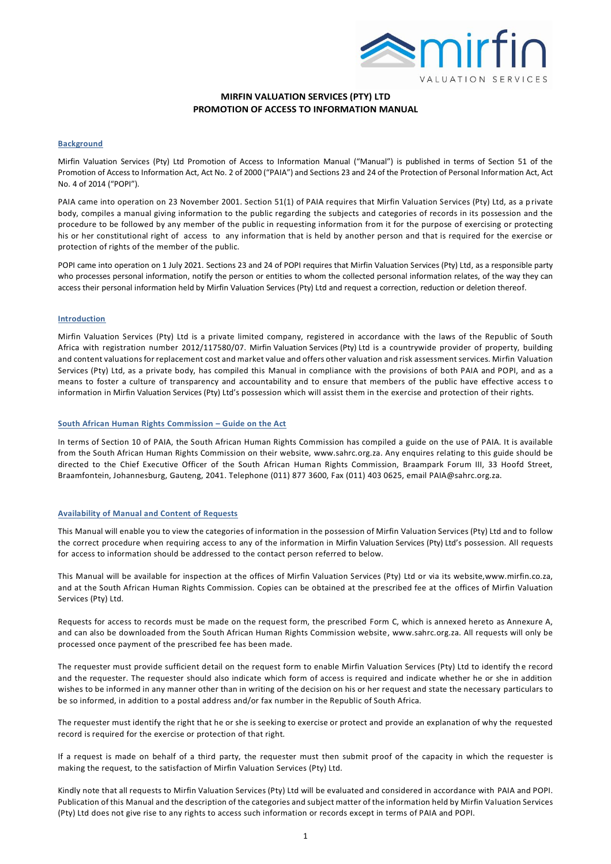

# **MIRFIN VALUATION SERVICES (PTY) LTD PROMOTION OF ACCESS TO INFORMATION MANUAL**

### **Background**

Mirfin Valuation Services (Pty) Ltd Promotion of Access to Information Manual ("Manual") is published in terms of Section 51 of the Promotion of Access to Information Act, Act No. 2 of 2000 ("PAIA") and Sections 23 and 24 of the Protection of Personal Information Act, Act No. 4 of 2014 ("POPI").

PAIA came into operation on 23 November 2001. Section 51(1) of PAIA requires that Mirfin Valuation Services (Pty) Ltd, as a p rivate body, compiles a manual giving information to the public regarding the subjects and categories of records in its possession and the procedure to be followed by any member of the public in requesting information from it for the purpose of exercising or protecting his or her constitutional right of access to any information that is held by another person and that is required for the exercise or protection of rights of the member of the public.

POPI came into operation on 1 July 2021. Sections 23 and 24 of POPI requires that Mirfin Valuation Services (Pty) Ltd, as a responsible party who processes personal information, notify the person or entities to whom the collected personal information relates, of the way they can access their personal information held by Mirfin Valuation Services (Pty) Ltd and request a correction, reduction or deletion thereof.

#### **Introduction**

Mirfin Valuation Services (Pty) Ltd is a private limited company, registered in accordance with the laws of the Republic of South Africa with registration number 2012/117580/07. Mirfin Valuation Services (Pty) Ltd is a countrywide provider of property, building and content valuations for replacement cost and market value and offers other valuation and risk assessment services. Mirfin Valuation Services (Pty) Ltd, as a private body, has compiled this Manual in compliance with the provisions of both PAIA and POPI, and as a means to foster a culture of transparency and accountability and to ensure that members of the public have effective access to information in Mirfin Valuation Services (Pty) Ltd's possession which will assist them in the exercise and protection of their rights.

#### **South African Human Rights Commission – Guide on the Act**

In terms of Section 10 of PAIA, the South African Human Rights Commission has compiled a guide on the use of PAIA. It is available from the South African Human Rights Commission on their website, [www.sahrc.org.za. A](http://www.sahrc.org.za/)ny enquires relating to this guide should be directed to the Chief Executive Officer of the South African Human Rights Commission, Braampark Forum III, 33 Hoofd Street, Braamfontein, Johannesburg, Gauteng, 2041. Telephone (011) 877 3600, Fax (011) 403 0625, email [PAIA@sahrc.org.za.](mailto:PAIA@sahrc.org.za)

## **Availability of Manual and Content of Requests**

This Manual will enable you to view the categories of information in the possession of Mirfin Valuation Services (Pty) Ltd and to follow the correct procedure when requiring access to any of the information in Mirfin Valuation Services (Pty) Ltd's possession. All requests for access to information should be addressed to the contact person referred to below.

This Manual will be available for inspection at the offices of Mirfin Valuation Services (Pty) Ltd or via its website,www.mirfin.co.za, and at the South African Human Rights Commission. Copies can be obtained at the prescribed fee at the offices of Mirfin Valuation Services (Pty) Ltd.

Requests for access to records must be made on the request form, the prescribed Form C, which is annexed hereto as Annexure A, and can also be downloaded from the South African Human Rights Commission website, [www.sahrc.org.za.](http://www.sahrc.org.za/) All requests will only be processed once payment of the prescribed fee has been made.

The requester must provide sufficient detail on the request form to enable Mirfin Valuation Services (Pty) Ltd to identify th e record and the requester. The requester should also indicate which form of access is required and indicate whether he or she in addition wishes to be informed in any manner other than in writing of the decision on his or her request and state the necessary particulars to be so informed, in addition to a postal address and/or fax number in the Republic of South Africa.

The requester must identify the right that he or she is seeking to exercise or protect and provide an explanation of why the requested record is required for the exercise or protection of that right.

If a request is made on behalf of a third party, the requester must then submit proof of the capacity in which the requester is making the request, to the satisfaction of Mirfin Valuation Services (Pty) Ltd.

Kindly note that all requests to Mirfin Valuation Services (Pty) Ltd will be evaluated and considered in accordance with PAIA and POPI. Publication of this Manual and the description of the categories and subject matter of the information held by Mirfin Valuation Services (Pty) Ltd does not give rise to any rights to access such information or records except in terms of PAIA and POPI.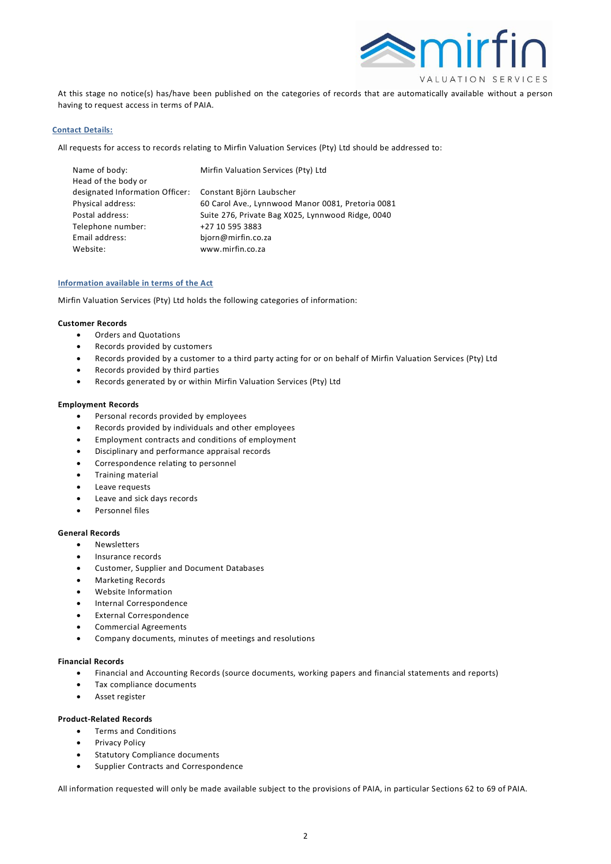

At this stage no notice(s) has/have been published on the categories of records that are automatically available without a person having to request access in terms of PAIA.

## **Contact Details:**

All requests for access to records relating to Mirfin Valuation Services (Pty) Ltd should be addressed to:

| Name of body:                   | Mirfin Valuation Services (Pty) Ltd               |
|---------------------------------|---------------------------------------------------|
| Head of the body or             |                                                   |
| designated Information Officer: | Constant Björn Laubscher                          |
| Physical address:               | 60 Carol Ave., Lynnwood Manor 0081, Pretoria 0081 |
| Postal address:                 | Suite 276, Private Bag X025, Lynnwood Ridge, 0040 |
| Telephone number:               | +27 10 595 3883                                   |
| Email address:                  | bjorn@mirfin.co.za                                |
| Website:                        | www.mirfin.co.za                                  |

# **Information available in terms of the Act**

Mirfin Valuation Services (Pty) Ltd holds the following categories of information:

#### **Customer Records**

- Orders and Quotations
- Records provided by customers
- Records provided by a customer to a third party acting for or on behalf of Mirfin Valuation Services (Pty) Ltd
- Records provided by third parties
- Records generated by or within Mirfin Valuation Services (Pty) Ltd

#### **Employment Records**

- Personal records provided by employees
- Records provided by individuals and other employees
- Employment contracts and conditions of employment
- Disciplinary and performance appraisal records
- Correspondence relating to personnel
- Training material
- Leave requests
- Leave and sick days records
- Personnel files

## **General Records**

- **Newsletters**
- Insurance records
- Customer, Supplier and Document Databases
- Marketing Records
- Website Information
- Internal Correspondence
- External Correspondence
- Commercial Agreements
- Company documents, minutes of meetings and resolutions

### **Financial Records**

- Financial and Accounting Records (source documents, working papers and financial statements and reports)
- Tax compliance documents
- Asset register

#### **Product-Related Records**

- Terms and Conditions
- Privacy Policy
- Statutory Compliance documents
- Supplier Contracts and Correspondence

All information requested will only be made available subject to the provisions of PAIA, in particular Sections 62 to 69 of PAIA.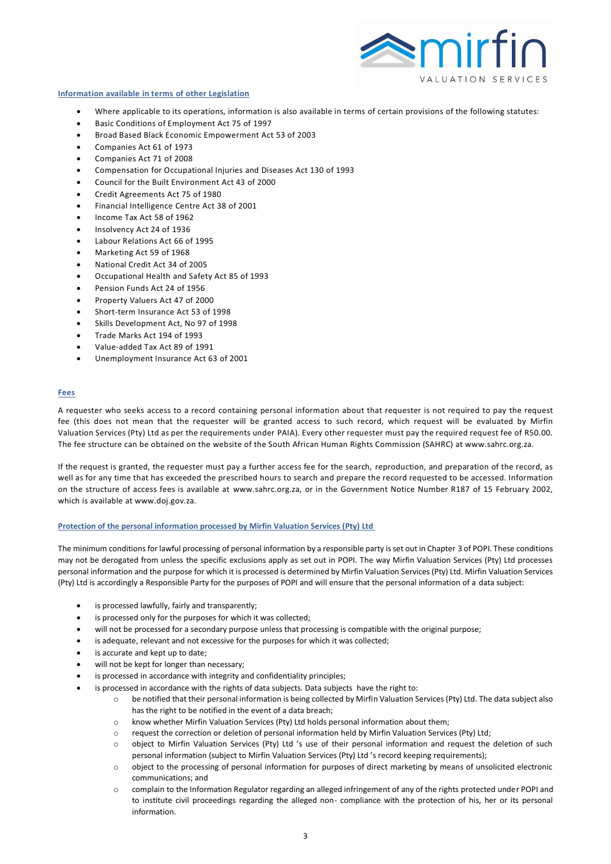

## **Information available in terms of other Legislation**

- Where applicable to its operations, information is also available in terms of certain provisions of the following statutes:
- Basic Conditions of Employment Act 75 of 1997
- Broad Based Black Economic Empowerment Act 53 of 2003
- Companies Act 61 of 1973
- Companies Act 71 of 2008
- Compensation for Occupational Injuries and Diseases Act 130 of 1993
- Council for the Built Environment Act 43 of 2000
- Credit Agreements Act 75 of 1980
- Financial Intelligence Centre Act 38 of 2001
- Income Tax Act 58 of 1962
- Insolvency Act 24 of 1936
- Labour Relations Act 66 of 1995
- Marketing Act 59 of 1968
- National Credit Act 34 of 2005
- Occupational Health and Safety Act 85 of 1993
- Pension Funds Act 24 of 1956
- Property Valuers Act 47 of 2000
- Short-term Insurance Act 53 of 1998
- Skills Development Act, No 97 of 1998
- Trade Marks Act 194 of 1993
- Value-added Tax Act 89 of 1991
- Unemployment Insurance Act 63 of 2001

#### **Fees**

A requester who seeks access to a record containing personal information about that requester is not required to pay the request fee (this does not mean that the requester will be granted access to such record, which request will be evaluated by Mirfin Valuation Services (Pty) Ltd as per the requirements under PAIA). Every other requester must pay the required request fee of R50.00. The fee structure can be obtained on the website of the South African Human Rights Commission (SAHRC) at [www.sahrc.org.za.](http://www.sahrc.org.za/)

If the request is granted, the requester must pay a further access fee for the search, reproduction, and preparation of the record, as well as for any time that has exceeded the prescribed hours to search and prepare the record requested to be accessed. Information on the structure of access fees is available at [www.sahrc.org.za,](http://www.sahrc.org.za/) or in the Government Notice Number R187 of 15 February 2002, which is available a[t www.doj.gov.za.](http://www.doj.gov.za/)

#### **Protection of the personal information processed by Mirfin Valuation Services (Pty) Ltd**

The minimum conditions for lawful processing of personal information by a responsible party is set out in Chapter 3 of POPI. These conditions may not be derogated from unless the specific exclusions apply as set out in POPI. The way Mirfin Valuation Services (Pty) Ltd processes personal information and the purpose for which it is processed is determined by Mirfin Valuation Services (Pty) Ltd. Mirfin Valuation Services (Pty) Ltd is accordingly a Responsible Party for the purposes of POPI and will ensure that the personal information of a data subject:

- is processed lawfully, fairly and transparently;
- is processed only for the purposes for which it was collected;
- will not be processed for a secondary purpose unless that processing is compatible with the original purpose;
- is adequate, relevant and not excessive for the purposes for which it was collected;
- is accurate and kept up to date;
- will not be kept for longer than necessary;
- is processed in accordance with integrity and confidentiality principles;
- is processed in accordance with the rights of data subjects. Data subjects have the right to:
	- o be notified that their personal information is being collected by Mirfin Valuation Services (Pty) Ltd. The data subject also has the right to be notified in the event of a data breach;
	- o know whether Mirfin Valuation Services (Pty) Ltd holds personal information about them;
	- o request the correction or deletion of personal information held by Mirfin Valuation Services (Pty) Ltd;
	- o object to Mirfin Valuation Services (Pty) Ltd 's use of their personal information and request the deletion of such personal information (subject to Mirfin Valuation Services (Pty) Ltd 's record keeping requirements);
	- $\circ$  object to the processing of personal information for purposes of direct marketing by means of unsolicited electronic communications; and
	- o complain to the Information Regulator regarding an alleged infringement of any of the rights protected under POPI and to institute civil proceedings regarding the alleged non- compliance with the protection of his, her or its personal information.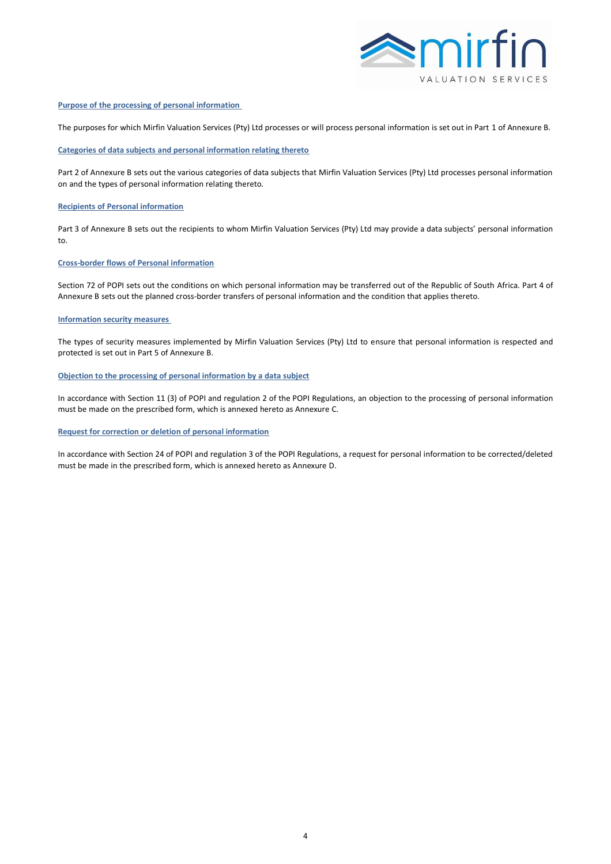

# **Purpose of the processing of personal information**

The purposes for which Mirfin Valuation Services (Pty) Ltd processes or will process personal information is set out in Part 1 of Annexure B.

### **Categories of data subjects and personal information relating thereto**

Part 2 of Annexure B sets out the various categories of data subjects that Mirfin Valuation Services (Pty) Ltd processes personal information on and the types of personal information relating thereto.

#### **Recipients of Personal information**

Part 3 of Annexure B sets out the recipients to whom Mirfin Valuation Services (Pty) Ltd may provide a data subjects' personal information to.

## **Cross-border flows of Personal information**

Section 72 of POPI sets out the conditions on which personal information may be transferred out of the Republic of South Africa. Part 4 of Annexure B sets out the planned cross-border transfers of personal information and the condition that applies thereto.

#### **Information security measures**

The types of security measures implemented by Mirfin Valuation Services (Pty) Ltd to ensure that personal information is respected and protected is set out in Part 5 of Annexure B.

## **Objection to the processing of personal information by a data subject**

In accordance with Section 11 (3) of POPI and regulation 2 of the POPI Regulations, an objection to the processing of personal information must be made on the prescribed form, which is annexed hereto as Annexure C.

### **Request for correction or deletion of personal information**

In accordance with Section 24 of POPI and regulation 3 of the POPI Regulations, a request for personal information to be corrected/deleted must be made in the prescribed form, which is annexed hereto as Annexure D.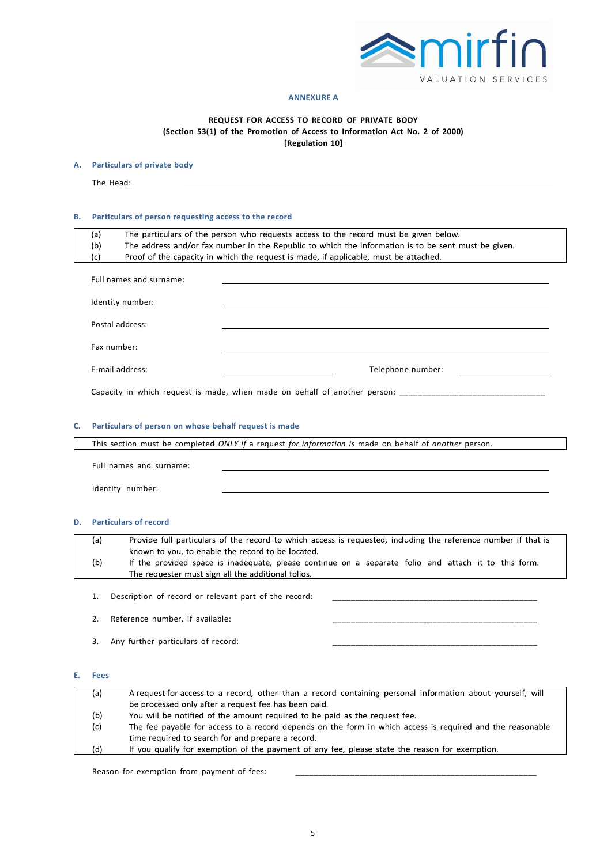

# **ANNEXURE A**

## **REQUEST FOR ACCESS TO RECORD OF PRIVATE BODY (Section 53(1) of the Promotion of Access to Information Act No. 2 of 2000) [Regulation 10]**

## **A. Particulars of private body**

| The Head: |  |
|-----------|--|
|           |  |

## **B. Particulars of person requesting access to the record**

| (a)             | The particulars of the person who requests access to the record must be given below.                |  |  |
|-----------------|-----------------------------------------------------------------------------------------------------|--|--|
| (b)             | The address and/or fax number in the Republic to which the information is to be sent must be given. |  |  |
| (c)             | Proof of the capacity in which the request is made, if applicable, must be attached.                |  |  |
|                 | Full names and surname:                                                                             |  |  |
|                 | Identity number:                                                                                    |  |  |
|                 | Postal address:                                                                                     |  |  |
| Fax number:     |                                                                                                     |  |  |
| E-mail address: | Telephone number:                                                                                   |  |  |
|                 | Capacity in which request is made, when made on behalf of another person:                           |  |  |

## **C. Particulars of person on whose behalf request is made**

|                         | This section must be completed ONLY if a request for information is made on behalf of another person. |
|-------------------------|-------------------------------------------------------------------------------------------------------|
|                         |                                                                                                       |
| Full names and surname: |                                                                                                       |
| Identity number:        |                                                                                                       |

# **D. Particulars of record**

| (a) | Provide full particulars of the record to which access is requested, including the reference number if that is |
|-----|----------------------------------------------------------------------------------------------------------------|
|     | known to you, to enable the record to be located.                                                              |
| (b) |                                                                                                                |
|     | If the provided space is inadequate, please continue on a separate folio and attach it to this form.           |
|     | The requester must sign all the additional folios.                                                             |

1. Description of record or relevant part of the record:

- 2. Reference number, if available:
- 3. Any further particulars of record:

## **E. Fees**

| (a) | A request for access to a record, other than a record containing personal information about yourself, will |  |
|-----|------------------------------------------------------------------------------------------------------------|--|
|     | be processed only after a request fee has been paid.                                                       |  |
| (b) | You will be notified of the amount required to be paid as the request fee.                                 |  |
| (c) | The fee payable for access to a record depends on the form in which access is required and the reasonable  |  |
|     | time required to search for and prepare a record.                                                          |  |
| (d) | If you qualify for exemption of the payment of any fee, please state the reason for exemption.             |  |
|     |                                                                                                            |  |

Reason for exemption from payment of fees: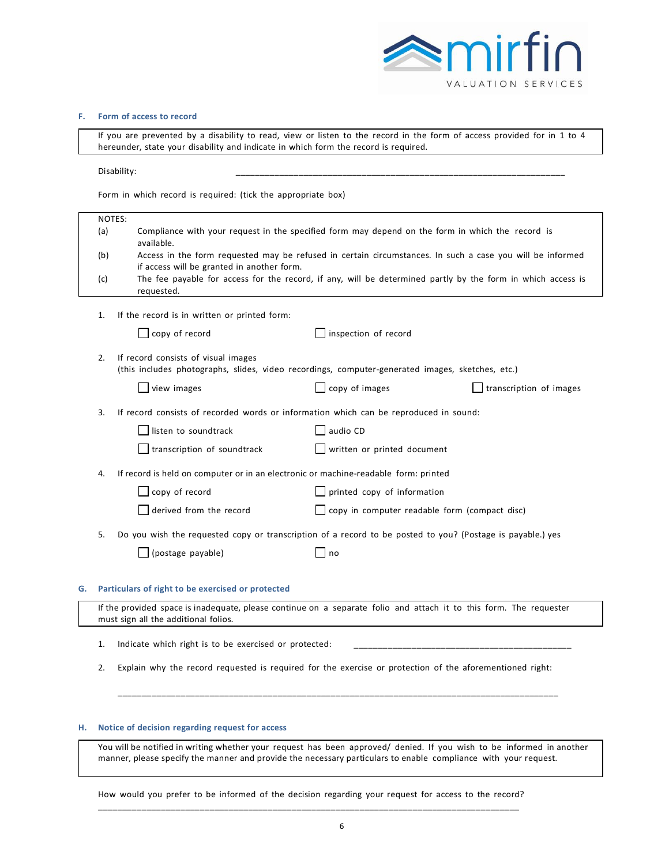

### **F. Form of access to record**

If you are prevented by a disability to read, view or listen to the record in the form of access provided for in 1 to 4 hereunder, state your disability and indicate in which form the record is required.

Disability: \_\_\_\_\_\_\_\_\_\_\_\_\_\_\_\_\_\_\_\_\_\_\_\_\_\_\_\_\_\_\_\_\_\_\_\_\_\_\_\_\_\_\_\_\_\_\_\_\_\_\_\_\_\_\_\_\_\_\_\_\_\_\_\_\_\_\_\_

Form in which record is required: (tick the appropriate box)

|    | NOTES:                                                                                                                                        |                                                                                                                                                                         |                                               |                         |
|----|-----------------------------------------------------------------------------------------------------------------------------------------------|-------------------------------------------------------------------------------------------------------------------------------------------------------------------------|-----------------------------------------------|-------------------------|
|    | (a)                                                                                                                                           | Compliance with your request in the specified form may depend on the form in which the record is<br>available.                                                          |                                               |                         |
|    | (b)                                                                                                                                           | Access in the form requested may be refused in certain circumstances. In such a case you will be informed                                                               |                                               |                         |
|    | (c)                                                                                                                                           | if access will be granted in another form.<br>The fee payable for access for the record, if any, will be determined partly by the form in which access is<br>requested. |                                               |                         |
| 1. |                                                                                                                                               | If the record is in written or printed form:                                                                                                                            |                                               |                         |
|    |                                                                                                                                               | $\Box$ copy of record                                                                                                                                                   | inspection of record                          |                         |
|    | If record consists of visual images<br>2.<br>(this includes photographs, slides, video recordings, computer-generated images, sketches, etc.) |                                                                                                                                                                         |                                               |                         |
|    |                                                                                                                                               | view images                                                                                                                                                             | copy of images                                | transcription of images |
|    | If record consists of recorded words or information which can be reproduced in sound:<br>3.                                                   |                                                                                                                                                                         |                                               |                         |
|    |                                                                                                                                               | listen to soundtrack                                                                                                                                                    | audio CD                                      |                         |
|    |                                                                                                                                               | I transcription of soundtrack                                                                                                                                           | written or printed document                   |                         |
| 4. |                                                                                                                                               | If record is held on computer or in an electronic or machine-readable form: printed                                                                                     |                                               |                         |
|    |                                                                                                                                               | copy of record                                                                                                                                                          | printed copy of information                   |                         |
|    |                                                                                                                                               | $\Box$ derived from the record                                                                                                                                          | copy in computer readable form (compact disc) |                         |
|    | Do you wish the requested copy or transcription of a record to be posted to you? (Postage is payable.) yes<br>5.                              |                                                                                                                                                                         |                                               |                         |
|    |                                                                                                                                               | $\Box$ (postage payable)                                                                                                                                                | no                                            |                         |
| G. |                                                                                                                                               | Particulars of right to be exercised or protected                                                                                                                       |                                               |                         |
|    |                                                                                                                                               | If the provided space is inadequate, please continue on a separate folio and attach it to this form. The requester<br>must sign all the additional folios.              |                                               |                         |
| 1. |                                                                                                                                               | Indicate which right is to be exercised or protected:                                                                                                                   |                                               |                         |

2. Explain why the record requested is required for the exercise or protection of the aforementioned right:

#### **H. Notice of decision regarding request for access**

You will be notified in writing whether your request has been approved/ denied. If you wish to be informed in another manner, please specify the manner and provide the necessary particulars to enable compliance with your request.

\_\_\_\_\_\_\_\_\_\_\_\_\_\_\_\_\_\_\_\_\_\_\_\_\_\_\_\_\_\_\_\_\_\_\_\_\_\_\_\_\_\_\_\_\_\_\_\_\_\_\_\_\_\_\_\_\_\_\_\_\_\_\_\_\_\_\_\_\_\_\_\_\_\_\_\_\_\_\_\_\_\_\_\_\_\_\_\_\_\_\_

How would you prefer to be informed of the decision regarding your request for access to the record? \_\_\_\_\_\_\_\_\_\_\_\_\_\_\_\_\_\_\_\_\_\_\_\_\_\_\_\_\_\_\_\_\_\_\_\_\_\_\_\_\_\_\_\_\_\_\_\_\_\_\_\_\_\_\_\_\_\_\_\_\_\_\_\_\_\_\_\_\_\_\_\_\_\_\_\_\_\_\_\_\_\_\_\_\_\_\_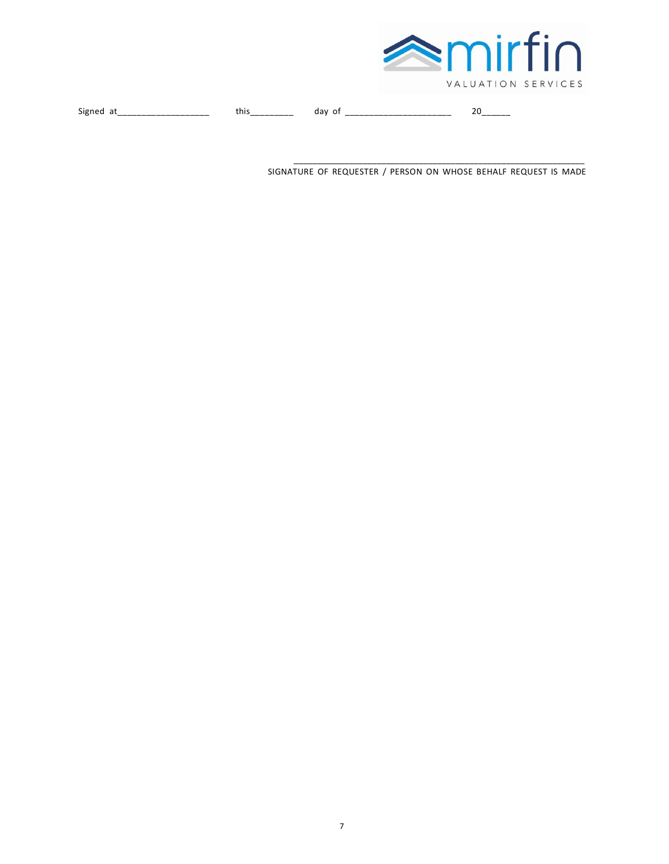

Signed at\_\_\_\_\_\_\_\_\_\_\_\_\_\_\_\_\_\_\_\_\_\_ this\_\_\_\_\_\_\_\_\_\_\_ day of \_\_\_\_\_\_\_\_\_\_\_\_\_\_\_\_\_\_\_\_\_\_\_\_\_\_ 20\_\_\_\_\_\_

 \_\_\_\_\_\_\_\_\_\_\_\_\_\_\_\_\_\_\_\_\_\_\_\_\_\_\_\_\_\_\_\_\_\_\_\_\_\_\_\_\_\_\_\_\_\_\_\_\_\_\_\_\_\_\_\_\_\_\_\_\_\_\_ SIGNATURE OF REQUESTER / PERSON ON WHOSE BEHALF REQUEST IS MADE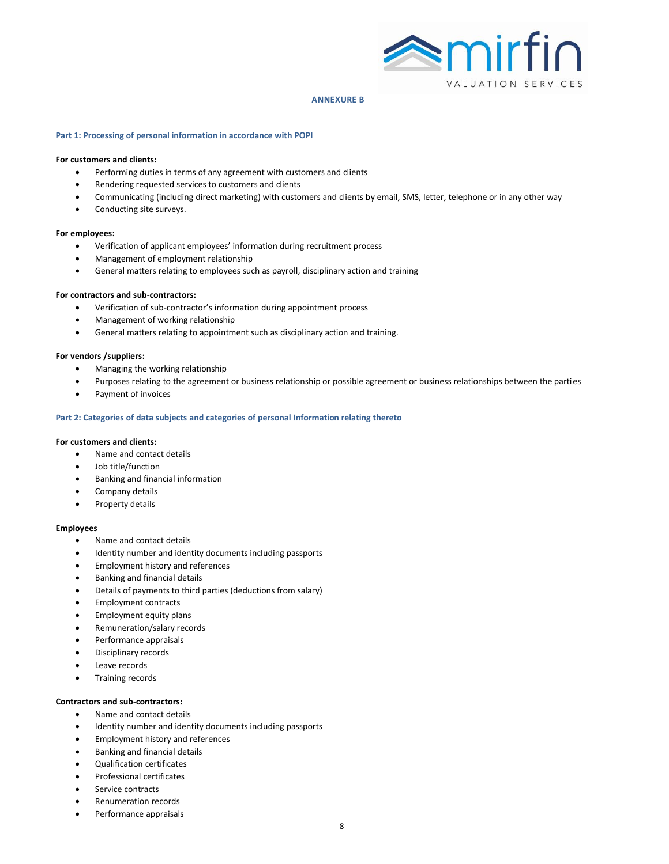

### **ANNEXURE B**

#### **Part 1: Processing of personal information in accordance with POPI**

## **For customers and clients:**

- Performing duties in terms of any agreement with customers and clients
- Rendering requested services to customers and clients
- Communicating (including direct marketing) with customers and clients by email, SMS, letter, telephone or in any other way
- Conducting site surveys.

### **For employees:**

- Verification of applicant employees' information during recruitment process
- Management of employment relationship
- General matters relating to employees such as payroll, disciplinary action and training

### **For contractors and sub-contractors:**

- Verification of sub-contractor's information during appointment process
- Management of working relationship
- General matters relating to appointment such as disciplinary action and training.

#### **For vendors /suppliers:**

- Managing the working relationship
- Purposes relating to the agreement or business relationship or possible agreement or business relationships between the parties
- Payment of invoices

#### **Part 2: Categories of data subjects and categories of personal Information relating thereto**

#### **For customers and clients:**

- Name and contact details
- Job title/function
- Banking and financial information
- Company details
- Property details

#### **Employees**

- Name and contact details
- Identity number and identity documents including passports
- Employment history and references
- Banking and financial details
- Details of payments to third parties (deductions from salary)
- Employment contracts
- Employment equity plans
- Remuneration/salary records
- Performance appraisals
- Disciplinary records
- Leave records
- Training records

## **Contractors and sub-contractors:**

- Name and contact details
- Identity number and identity documents including passports
- Employment history and references
- Banking and financial details
- Qualification certificates
- Professional certificates
- Service contracts
- Renumeration records
- Performance appraisals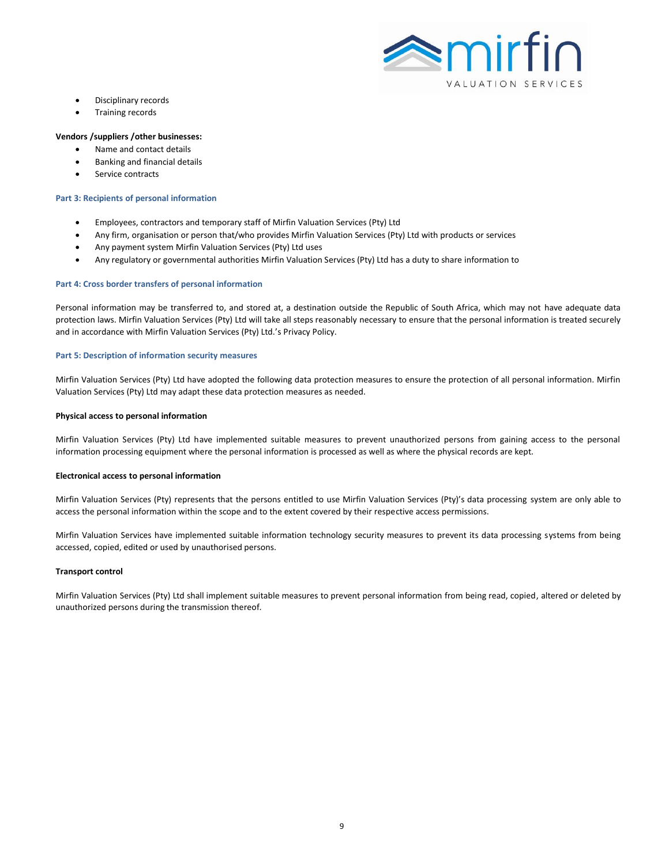

- Disciplinary records
- Training records

## **Vendors /suppliers /other businesses:**

- Name and contact details
- Banking and financial details
- Service contracts

### **Part 3: Recipients of personal information**

- Employees, contractors and temporary staff of Mirfin Valuation Services (Pty) Ltd
- Any firm, organisation or person that/who provides Mirfin Valuation Services (Pty) Ltd with products or services
- Any payment system Mirfin Valuation Services (Pty) Ltd uses
- Any regulatory or governmental authorities Mirfin Valuation Services (Pty) Ltd has a duty to share information to

### **Part 4: Cross border transfers of personal information**

Personal information may be transferred to, and stored at, a destination outside the Republic of South Africa, which may not have adequate data protection laws. Mirfin Valuation Services (Pty) Ltd will take all steps reasonably necessary to ensure that the personal information is treated securely and in accordance with Mirfin Valuation Services (Pty) Ltd.'s Privacy Policy.

### **Part 5: Description of information security measures**

Mirfin Valuation Services (Pty) Ltd have adopted the following data protection measures to ensure the protection of all personal information. Mirfin Valuation Services (Pty) Ltd may adapt these data protection measures as needed.

### **Physical access to personal information**

Mirfin Valuation Services (Pty) Ltd have implemented suitable measures to prevent unauthorized persons from gaining access to the personal information processing equipment where the personal information is processed as well as where the physical records are kept.

### **Electronical access to personal information**

Mirfin Valuation Services (Pty) represents that the persons entitled to use Mirfin Valuation Services (Pty)'s data processing system are only able to access the personal information within the scope and to the extent covered by their respective access permissions.

Mirfin Valuation Services have implemented suitable information technology security measures to prevent its data processing systems from being accessed, copied, edited or used by unauthorised persons.

### **Transport control**

Mirfin Valuation Services (Pty) Ltd shall implement suitable measures to prevent personal information from being read, copied, altered or deleted by unauthorized persons during the transmission thereof.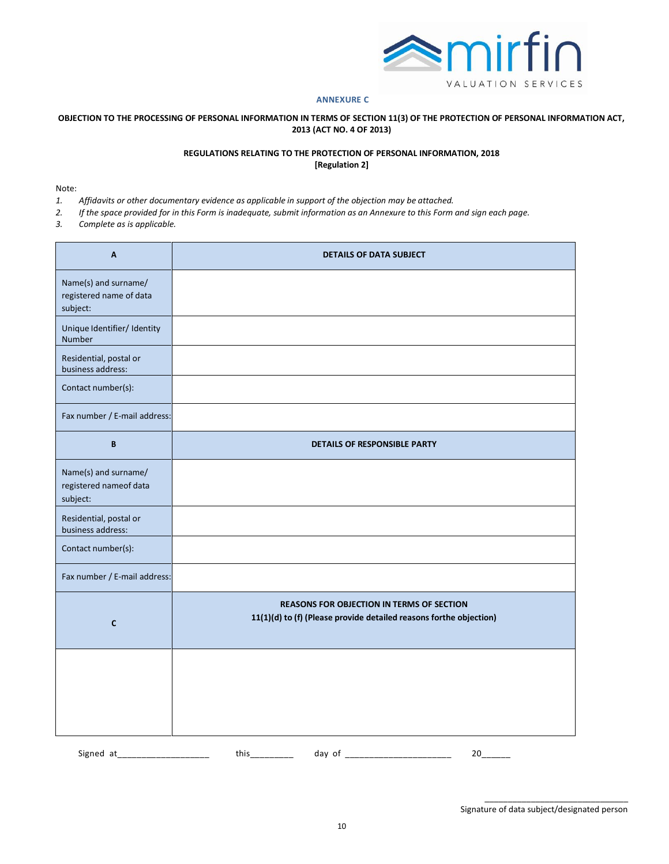

## **ANNEXURE C**

## **OBJECTION TO THE PROCESSING OF PERSONAL INFORMATION IN TERMS OF SECTION 11(3) OF THE PROTECTION OF PERSONAL INFORMATION ACT, 2013 (ACT NO. 4 OF 2013)**

## **REGULATIONS RELATING TO THE PROTECTION OF PERSONAL INFORMATION, 2018 [Regulation 2]**

Note:

- *1. Affidavits or other documentary evidence as applicable in support of the objection may be attached.*
- *2. If the space provided for in this Form is inadequate, submit information as an Annexure to this Form and sign each page.*
- *3. Complete as is applicable.*

| A                                                           | DETAILS OF DATA SUBJECT                                                                                                |
|-------------------------------------------------------------|------------------------------------------------------------------------------------------------------------------------|
| Name(s) and surname/<br>registered name of data<br>subject: |                                                                                                                        |
| Unique Identifier/ Identity<br>Number                       |                                                                                                                        |
| Residential, postal or<br>business address:                 |                                                                                                                        |
| Contact number(s):                                          |                                                                                                                        |
| Fax number / E-mail address:                                |                                                                                                                        |
| B                                                           | DETAILS OF RESPONSIBLE PARTY                                                                                           |
| Name(s) and surname/<br>registered nameof data<br>subject:  |                                                                                                                        |
| Residential, postal or<br>business address:                 |                                                                                                                        |
| Contact number(s):                                          |                                                                                                                        |
| Fax number / E-mail address:                                |                                                                                                                        |
| $\mathbf c$                                                 | <b>REASONS FOR OBJECTION IN TERMS OF SECTION</b><br>11(1)(d) to (f) (Please provide detailed reasons forthe objection) |
|                                                             |                                                                                                                        |

Signed at\_\_\_\_\_\_\_\_\_\_\_\_\_\_\_\_\_\_\_\_\_\_ this\_\_\_\_\_\_\_\_\_\_\_ day of \_\_\_\_\_\_\_\_\_\_\_\_\_\_\_\_\_\_\_\_\_\_\_\_\_ 20\_\_\_\_\_\_

\_\_\_\_\_\_\_\_\_\_\_\_\_\_\_\_\_\_\_\_\_\_\_\_\_\_\_\_\_\_\_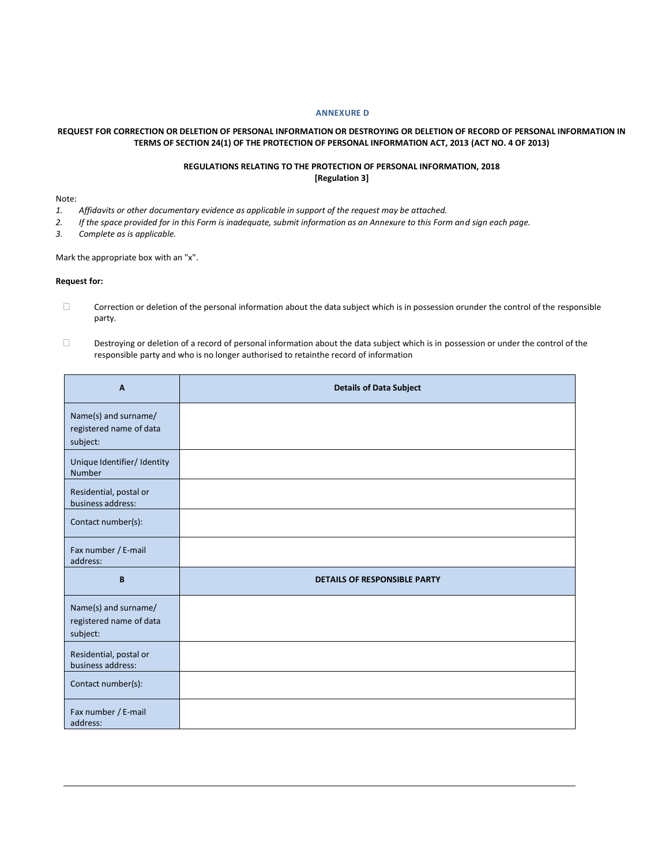## **ANNEXURE D**

## **REQUEST FOR CORRECTION OR DELETION OF PERSONAL INFORMATION OR DESTROYING OR DELETION OF RECORD OF PERSONAL INFORMATION IN TERMS OF SECTION 24(1) OF THE PROTECTION OF PERSONAL INFORMATION ACT, 2013 (ACT NO. 4 OF 2013)**

## **REGULATIONS RELATING TO THE PROTECTION OF PERSONAL INFORMATION, 2018 [Regulation 3]**

### Note:

- *1. Affidavits or other documentary evidence as applicable in support of the request may be attached.*
- *2. If the space provided for in this Form is inadequate, submit information as an Annexure to this Form and sign each page.*
- *3. Complete as is applicable.*

Mark the appropriate box with an "x".

### **Request for:**

- Correction or deletion of the personal information about the data subject which is in possession orunder the control of the responsible party.
- Destroying or deletion of a record of personal information about the data subject which is in possession or under the control of the responsible party and who is no longer authorised to retainthe record of information

| $\mathbf{A}$                                                | <b>Details of Data Subject</b>      |
|-------------------------------------------------------------|-------------------------------------|
| Name(s) and surname/<br>registered name of data<br>subject: |                                     |
| Unique Identifier/ Identity<br><b>Number</b>                |                                     |
| Residential, postal or<br>business address:                 |                                     |
| Contact number(s):                                          |                                     |
| Fax number / E-mail<br>address:                             |                                     |
| B                                                           | <b>DETAILS OF RESPONSIBLE PARTY</b> |
| Name(s) and surname/<br>registered name of data<br>subject: |                                     |
| Residential, postal or<br>business address:                 |                                     |
| Contact number(s):                                          |                                     |
| Fax number / E-mail<br>address:                             |                                     |